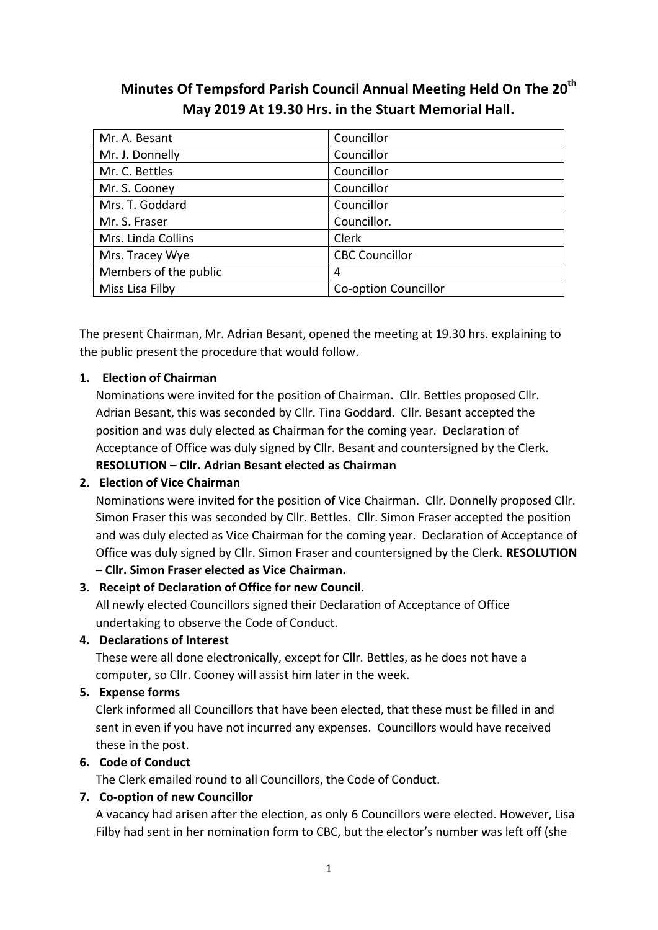# **Minutes Of Tempsford Parish Council Annual Meeting Held On The 20th May 2019 At 19.30 Hrs. in the Stuart Memorial Hall.**

| Mr. A. Besant         | Councillor            |  |
|-----------------------|-----------------------|--|
| Mr. J. Donnelly       | Councillor            |  |
| Mr. C. Bettles        | Councillor            |  |
| Mr. S. Cooney         | Councillor            |  |
| Mrs. T. Goddard       | Councillor            |  |
| Mr. S. Fraser         | Councillor.           |  |
| Mrs. Linda Collins    | Clerk                 |  |
| Mrs. Tracey Wye       | <b>CBC Councillor</b> |  |
| Members of the public | 4                     |  |
| Miss Lisa Filby       | Co-option Councillor  |  |

The present Chairman, Mr. Adrian Besant, opened the meeting at 19.30 hrs. explaining to the public present the procedure that would follow.

# **1. Election of Chairman**

Nominations were invited for the position of Chairman. Cllr. Bettles proposed Cllr. Adrian Besant, this was seconded by Cllr. Tina Goddard. Cllr. Besant accepted the position and was duly elected as Chairman for the coming year. Declaration of Acceptance of Office was duly signed by Cllr. Besant and countersigned by the Clerk. **RESOLUTION – Cllr. Adrian Besant elected as Chairman**

# **2. Election of Vice Chairman**

Nominations were invited for the position of Vice Chairman. Cllr. Donnelly proposed Cllr. Simon Fraser this was seconded by Cllr. Bettles. Cllr. Simon Fraser accepted the position and was duly elected as Vice Chairman for the coming year. Declaration of Acceptance of Office was duly signed by Cllr. Simon Fraser and countersigned by the Clerk. **RESOLUTION**

# **– Cllr. Simon Fraser elected as Vice Chairman.**

# **3. Receipt of Declaration of Office for new Council.**

All newly elected Councillors signed their Declaration of Acceptance of Office undertaking to observe the Code of Conduct.

# **4. Declarations of Interest**

These were all done electronically, except for Cllr. Bettles, as he does not have a computer, so Cllr. Cooney will assist him later in the week.

# **5. Expense forms**

Clerk informed all Councillors that have been elected, that these must be filled in and sent in even if you have not incurred any expenses. Councillors would have received these in the post.

# **6. Code of Conduct**

The Clerk emailed round to all Councillors, the Code of Conduct.

# **7. Co‐option of new Councillor**

A vacancy had arisen after the election, as only 6 Councillors were elected. However, Lisa Filby had sent in her nomination form to CBC, but the elector's number was left off (she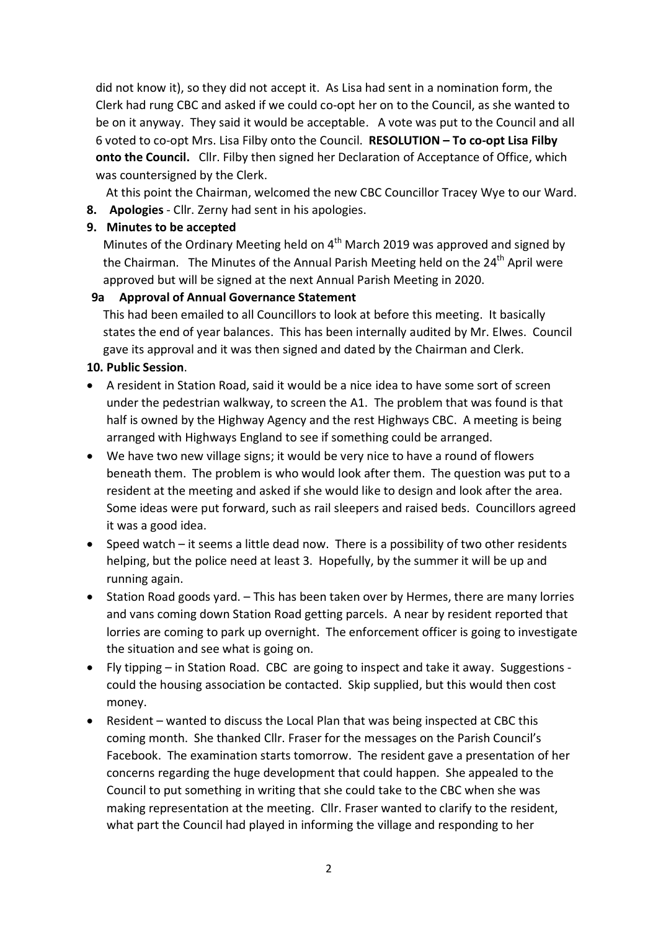did not know it), so they did not accept it. As Lisa had sent in a nomination form, the Clerk had rung CBC and asked if we could co‐opt her on to the Council, as she wanted to be on it anyway. They said it would be acceptable. A vote was put to the Council and all 6 voted to co‐opt Mrs. Lisa Filby onto the Council. **RESOLUTION – To co‐opt Lisa Filby onto the Council.** Cllr. Filby then signed her Declaration of Acceptance of Office, which was countersigned by the Clerk.

At this point the Chairman, welcomed the new CBC Councillor Tracey Wye to our Ward.

**8. Apologies** ‐ Cllr. Zerny had sent in his apologies.

# **9. Minutes to be accepted**

Minutes of the Ordinary Meeting held on  $4<sup>th</sup>$  March 2019 was approved and signed by the Chairman. The Minutes of the Annual Parish Meeting held on the  $24<sup>th</sup>$  April were approved but will be signed at the next Annual Parish Meeting in 2020.

# **9a Approval of Annual Governance Statement**

This had been emailed to all Councillors to look at before this meeting. It basically states the end of year balances. This has been internally audited by Mr. Elwes. Council gave its approval and it was then signed and dated by the Chairman and Clerk.

# **10. Public Session**.

- A resident in Station Road, said it would be a nice idea to have some sort of screen under the pedestrian walkway, to screen the A1. The problem that was found is that half is owned by the Highway Agency and the rest Highways CBC. A meeting is being arranged with Highways England to see if something could be arranged.
- We have two new village signs; it would be very nice to have a round of flowers beneath them. The problem is who would look after them. The question was put to a resident at the meeting and asked if she would like to design and look after the area. Some ideas were put forward, such as rail sleepers and raised beds. Councillors agreed it was a good idea.
- Speed watch it seems a little dead now. There is a possibility of two other residents helping, but the police need at least 3. Hopefully, by the summer it will be up and running again.
- Station Road goods yard. This has been taken over by Hermes, there are many lorries and vans coming down Station Road getting parcels. A near by resident reported that lorries are coming to park up overnight. The enforcement officer is going to investigate the situation and see what is going on.
- Fly tipping in Station Road. CBC are going to inspect and take it away. Suggestions ‐ could the housing association be contacted. Skip supplied, but this would then cost money.
- Resident wanted to discuss the Local Plan that was being inspected at CBC this coming month. She thanked Cllr. Fraser for the messages on the Parish Council's Facebook. The examination starts tomorrow. The resident gave a presentation of her concerns regarding the huge development that could happen. She appealed to the Council to put something in writing that she could take to the CBC when she was making representation at the meeting. Cllr. Fraser wanted to clarify to the resident, what part the Council had played in informing the village and responding to her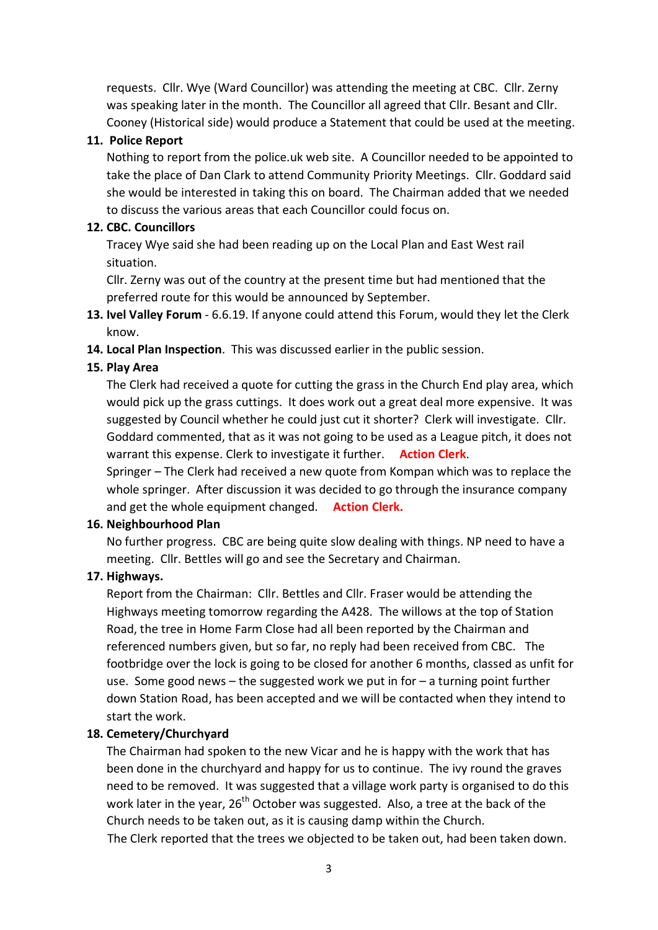requests. Cllr. Wye (Ward Councillor) was attending the meeting at CBC. Cllr. Zerny was speaking later in the month. The Councillor all agreed that Cllr. Besant and Cllr. Cooney (Historical side) would produce a Statement that could be used at the meeting.

#### **11. Police Report**

Nothing to report from the police.uk web site. A Councillor needed to be appointed to take the place of Dan Clark to attend Community Priority Meetings. Cllr. Goddard said she would be interested in taking this on board. The Chairman added that we needed to discuss the various areas that each Councillor could focus on.

#### **12. CBC. Councillors**

Tracey Wye said she had been reading up on the Local Plan and East West rail situation.

Cllr. Zerny was out of the country at the present time but had mentioned that the preferred route for this would be announced by September.

- **13. Ivel Valley Forum** ‐ 6.6.19. If anyone could attend this Forum, would they let the Clerk know.
- **14. Local Plan Inspection**. This was discussed earlier in the public session.

### **15. Play Area**

The Clerk had received a quote for cutting the grass in the Church End play area, which would pick up the grass cuttings. It does work out a great deal more expensive. It was suggested by Council whether he could just cut it shorter? Clerk will investigate. Cllr. Goddard commented, that as it was not going to be used as a League pitch, it does not warrant this expense. Clerk to investigate it further. **Action Clerk**.

Springer – The Clerk had received a new quote from Kompan which was to replace the whole springer. After discussion it was decided to go through the insurance company and get the whole equipment changed. **Action Clerk.** 

### **16. Neighbourhood Plan**

No further progress. CBC are being quite slow dealing with things. NP need to have a meeting. Cllr. Bettles will go and see the Secretary and Chairman.

### **17. Highways.**

Report from the Chairman: Cllr. Bettles and Cllr. Fraser would be attending the Highways meeting tomorrow regarding the A428. The willows at the top of Station Road, the tree in Home Farm Close had all been reported by the Chairman and referenced numbers given, but so far, no reply had been received from CBC. The footbridge over the lock is going to be closed for another 6 months, classed as unfit for use. Some good news – the suggested work we put in for – a turning point further down Station Road, has been accepted and we will be contacted when they intend to start the work.

### **18. Cemetery/Churchyard**

The Chairman had spoken to the new Vicar and he is happy with the work that has been done in the churchyard and happy for us to continue. The ivy round the graves need to be removed. It was suggested that a village work party is organised to do this work later in the year,  $26<sup>th</sup>$  October was suggested. Also, a tree at the back of the Church needs to be taken out, as it is causing damp within the Church.

The Clerk reported that the trees we objected to be taken out, had been taken down.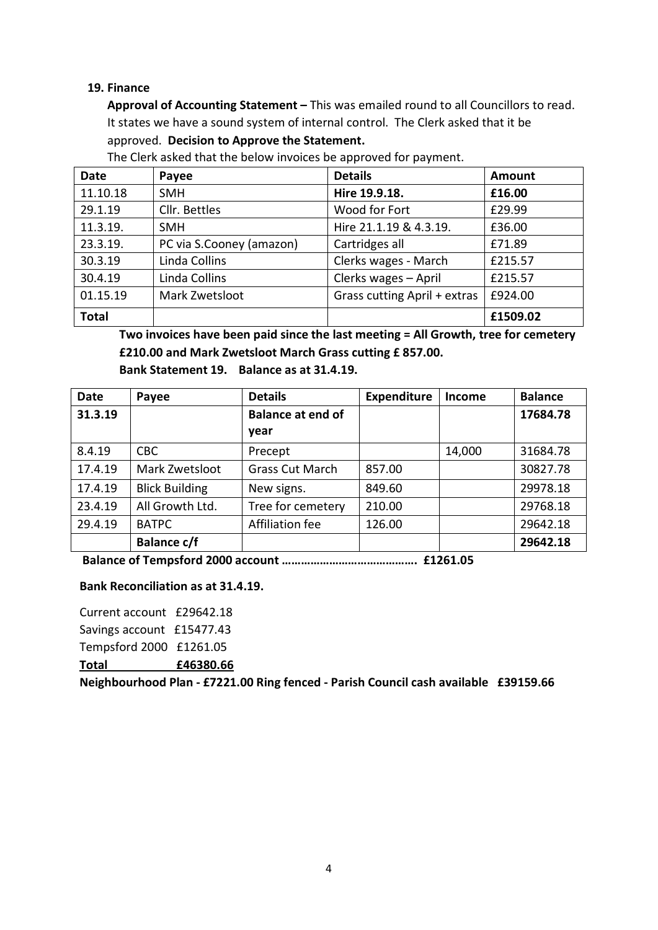### **19. Finance**

**Approval of Accounting Statement –** This was emailed round to all Councillors to read. It states we have a sound system of internal control. The Clerk asked that it be approved. **Decision to Approve the Statement.** 

| <b>Date</b>  | Payee                    | <b>Details</b>               | Amount   |
|--------------|--------------------------|------------------------------|----------|
| 11.10.18     | <b>SMH</b>               | Hire 19.9.18.                | £16.00   |
| 29.1.19      | Cllr. Bettles            | Wood for Fort                |          |
| 11.3.19.     | <b>SMH</b>               | Hire 21.1.19 & 4.3.19.       | £36.00   |
| 23.3.19.     | PC via S.Cooney (amazon) | Cartridges all               | £71.89   |
| 30.3.19      | Linda Collins            | Clerks wages - March         | £215.57  |
| 30.4.19      | Linda Collins            | Clerks wages - April         | £215.57  |
| 01.15.19     | Mark Zwetsloot           | Grass cutting April + extras | £924.00  |
| <b>Total</b> |                          |                              | £1509.02 |

The Clerk asked that the below invoices be approved for payment.

**Two invoices have been paid since the last meeting = All Growth, tree for cemetery £210.00 and Mark Zwetsloot March Grass cutting £ 857.00.**

| <b>Date</b> | Payee                 | <b>Details</b>           | <b>Expenditure</b> | <b>Income</b> | <b>Balance</b> |
|-------------|-----------------------|--------------------------|--------------------|---------------|----------------|
| 31.3.19     |                       | <b>Balance at end of</b> |                    |               | 17684.78       |
|             |                       | year                     |                    |               |                |
| 8.4.19      | <b>CBC</b>            | Precept                  |                    | 14,000        | 31684.78       |
| 17.4.19     | Mark Zwetsloot        | <b>Grass Cut March</b>   | 857.00             |               | 30827.78       |
| 17.4.19     | <b>Blick Building</b> | New signs.               | 849.60             |               | 29978.18       |
| 23.4.19     | All Growth Ltd.       | Tree for cemetery        | 210.00             |               | 29768.18       |
| 29.4.19     | <b>BATPC</b>          | Affiliation fee          | 126.00             |               | 29642.18       |
|             | <b>Balance c/f</b>    |                          |                    |               | 29642.18       |

**Bank Statement 19. Balance as at 31.4.19.** 

**Balance of Tempsford 2000 account ……………………………………. £1261.05** 

#### **Bank Reconciliation as at 31.4.19.**

Current account £29642.18 Savings account £15477.43 Tempsford 2000 £1261.05 **Total £46380.66**

**Neighbourhood Plan ‐ £7221.00 Ring fenced ‐ Parish Council cash available £39159.66**